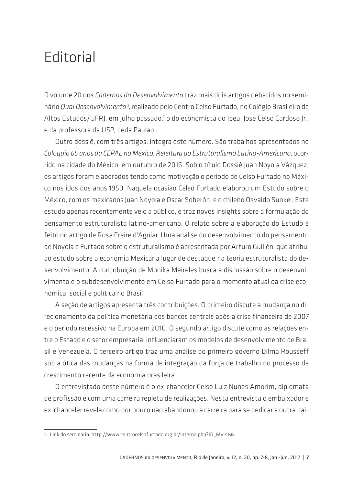## **Editorial**

O volume 20 dos *Cadernos do Desenvolvimento* traz mais dois artigos debatidos no seminário *Qual Desenvolvimento?*, realizado pelo Centro Celso Furtado, no Colégio Brasileiro de Altos Estudos/UFRJ, em julho passado:<sup>1</sup> o do economista do Ipea, José Celso Cardoso Jr., e da professora da USP, Leda Paulani.

Outro dossiê, com três artigos, integra este número. São trabalhos apresentados no *Colóquio 65 anos da CEPAL no México: Releitura do Estruturalismo Latino-Americano*, ocorrido na cidade do México, em outubro de 2016. Sob o título Dossiê Juan Noyola Vázquez, os artigos foram elaborados tendo como motivação o período de Celso Furtado no México nos idos dos anos 1950. Naquela ocasião Celso Furtado elaborou um Estudo sobre o México, com os mexicanos Juan Noyola e Oscar Soberón, e o chileno Osvaldo Sunkel. Este estudo apenas recentemente veio a público, e traz novos insights sobre a formulação do pensamento estruturalista latino-americano. O relato sobre a elaboração do Estudo é feito no artigo de Rosa Freire d'Aguiar. Uma análise do desenvolvimento do pensamento de Noyola e Furtado sobre o estruturalismo é apresentada por Arturo Guillén, que atribui ao estudo sobre a economia Mexicana lugar de destaque na teoria estruturalista do desenvolvimento. A contribuição de Monika Meireles busca a discussão sobre o desenvolvimento e o subdesenvolvimento em Celso Furtado para o momento atual da crise econômica, social e política no Brasil.

A seção de artigos apresenta três contribuições. O primeiro discute a mudança no direcionamento da política monetária dos bancos centrais após a crise financeira de 2007 e o período recessivo na Europa em 2010. O segundo artigo discute como as relações entre o Estado e o setor empresarial influenciaram os modelos de desenvolvimento de Brasil e Venezuela. O terceiro artigo traz uma análise do primeiro governo Dilma Rousseff sob a ótica das mudanças na forma de integração da força de trabalho no processo de crescimento recente da economia brasileira.

O entrevistado deste número é o ex-chanceler Celso Luiz Nunes Amorim, diplomata de profissão e com uma carreira repleta de realizações. Nesta entrevista o embaixador e ex-chanceler revela como por pouco não abandonou a carreira para se dedicar a outra pai-

<sup>1.</sup> Link do seminário: http://www.centrocelsofurtado.org.br/interna.php?ID\_M=1466.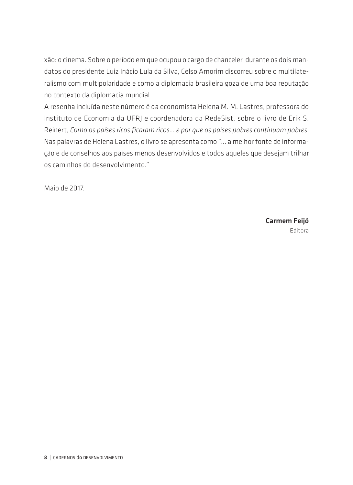xão: o cinema. Sobre o período em que ocupou o cargo de chanceler, durante os dois mandatos do presidente Luiz Inácio Lula da Silva, Celso Amorim discorreu sobre o multilateralismo com multipolaridade e como a diplomacia brasileira goza de uma boa reputação no contexto da diplomacia mundial.

A resenha incluída neste número é da economista Helena M. M. Lastres, professora do Instituto de Economia da UFRJ e coordenadora da RedeSist, sobre o livro de Erik S. Reinert, *Como os países ricos ficaram ricos... e por que os países pobres continuam pobres*. Nas palavras de Helena Lastres, o livro se apresenta como "... a melhor fonte de informação e de conselhos aos países menos desenvolvidos e todos aqueles que desejam trilhar os caminhos do desenvolvimento."

Maio de 2017.

Carmem Feijó Editora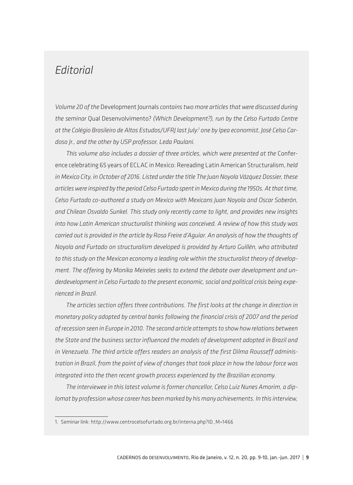## *Editorial*

*Volume 20 of the* Development Journals *contains two more articles that were discussed during the seminar* Qual Desenvolvimento? *(Which Development?), run by the Celso Furtado Centre at the Colégio Brasileiro de Altos Estudos/UFRJ last July:1 one by Ipea economist, José Celso Cardoso Jr., and the other by USP professor, Leda Paulani.* 

*This volume also includes a dossier of three articles, which were presented at the* Conference celebrating 65 years of ECLAC in Mexico: Rereading Latin American Structuralism, *held in Mexico City, in October of 2016. Listed under the title The Juan Noyola Vázquez Dossier, these articles were inspired by the period Celso Furtado spent in Mexico during the 1950s. At that time, Celso Furtado co-authored a study on Mexico with Mexicans Juan Noyola and Oscar Soberón, and Chilean Osvaldo Sunkel. This study only recently came to light, and provides new insights into how Latin American structuralist thinking was conceived. A review of how this study was carried out is provided in the article by Rosa Freire d'Aguiar. An analysis of how the thoughts of Noyola and Furtado on structuralism developed is provided by Arturo Guillén, who attributed to this study on the Mexican economy a leading role within the structuralist theory of development. The offering by Monika Meireles seeks to extend the debate over development and underdevelopment in Celso Furtado to the present economic, social and political crisis being experienced in Brazil.*

*The articles section offers three contributions. The first looks at the change in direction in monetary policy adopted by central banks following the financial crisis of 2007 and the period of recession seen in Europe in 2010. The second article attempts to show how relations between the State and the business sector influenced the models of development adopted in Brazil and in Venezuela. The third article offers readers an analysis of the first Dilma Rousseff administration in Brazil, from the point of view of changes that took place in how the labour force was integrated into the then recent growth process experienced by the Brazilian economy.* 

*The interviewee in this latest volume is former chancellor, Celso Luiz Nunes Amorim, a diplomat by profession whose career has been marked by his many achievements. In this interview,* 

<sup>1.</sup> Seminar link: http://www.centrocelsofurtado.org.br/interna.php?ID\_M=1466